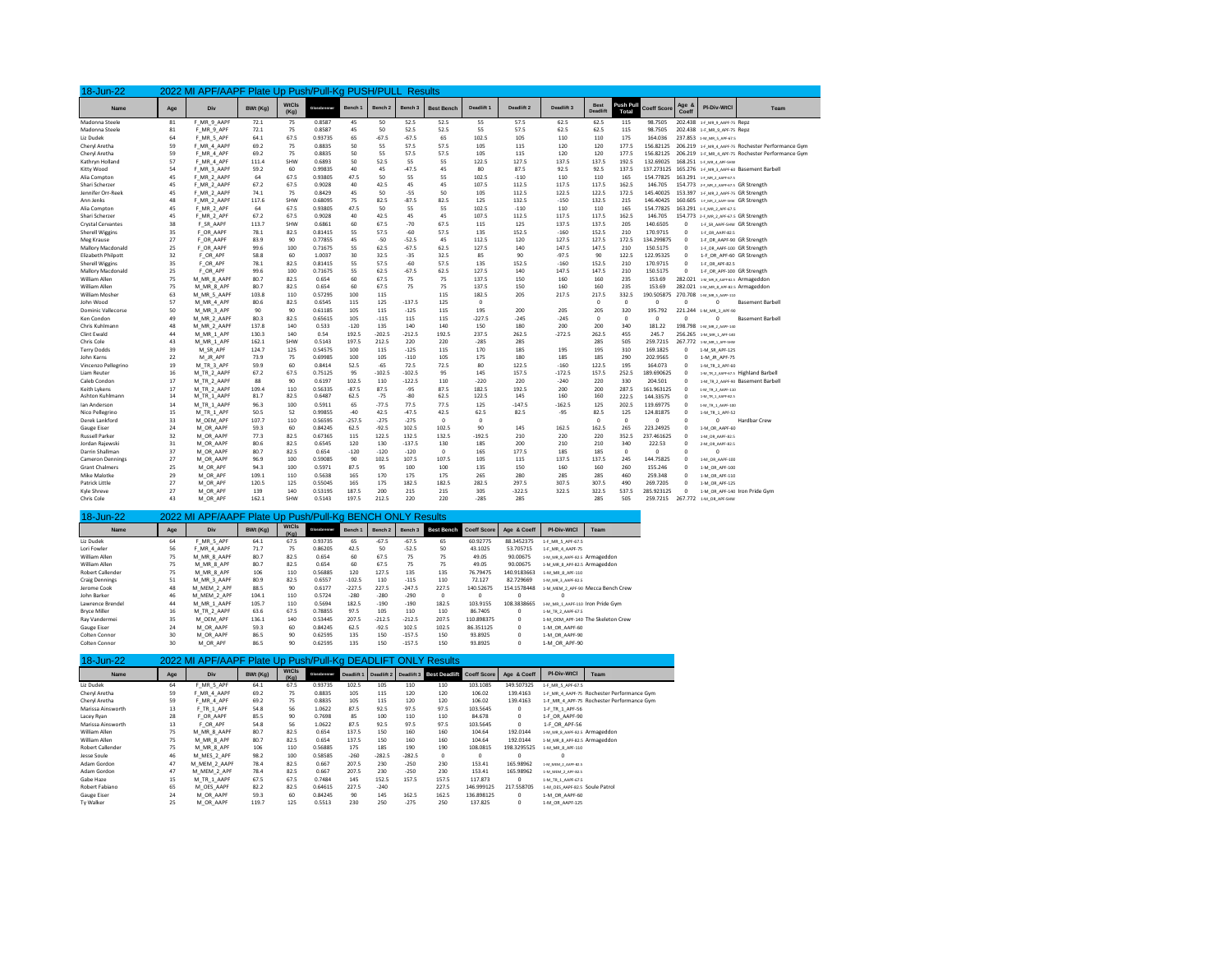| 18-Jun-22                |          | 2022 MI APF/AAPF Plate Up Push/Pull-Kg PUSH/PULL Results |          |                      |             |          |          |          |                   |            |            |            |                        |                   |                    |                |                                       |                                                    |
|--------------------------|----------|----------------------------------------------------------|----------|----------------------|-------------|----------|----------|----------|-------------------|------------|------------|------------|------------------------|-------------------|--------------------|----------------|---------------------------------------|----------------------------------------------------|
| Name                     | Age      | Div                                                      | BWt (Kg) | <b>WtCls</b><br>(Kg) | Clossbranne | Bench 1  | Bench 2  | Bench 3  | <b>Best Bench</b> | Deadlift 1 | Deadlift 2 | Deadlift 3 | <b>Best</b><br>Deadlif | Push Pul<br>Total | <b>Coeff Score</b> | Age 8<br>Coeff | PI-Div-WtCl                           | Team                                               |
| Madonna Steele           | 81       | F MR 9 AAPF                                              | 72.1     | 75                   | 0.8587      | 45       | 50       | 52.5     | 52.5              | 55         | 57.5       | 62.5       | 62.5                   | 115               | 98,7505            |                | 202.438 1-F MR 9 AAPF-75 Repz         |                                                    |
| Madonna Steele           | 81       | F MR 9 APF                                               | 72.1     | 75                   | 0.8587      | 45       | 50       | 52.5     | 52.5              | 55         | 57.5       | 62.5       | 62.5                   | 115               | 98,7505            |                | 202.438 1-F MR 9 APF-75 Repz          |                                                    |
| Liz Dudek                | 64       | F MR 5 APF                                               | 64.1     | 67.5                 | 0.93735     | 65       | $-67.5$  | $-67.5$  | 65                | 102.5      | 105        | 110        | 110                    | 175               | 164.036            |                | 237.853 1-M MR 5 APF-67.5             |                                                    |
| Cheryl Aretha            | 59       | F MR 4 AAPF                                              | 69.2     | 75                   | 0.8835      | 50       | 55       | 57.5     | 57.5              | 105        | 115        | 120        | 120                    | 177.5             | 156.82125          |                |                                       | 206.219 1-F MR 4 AAPF-75 Rochester Performance Gym |
| Cheryl Aretha            | 59       | F MR 4 APF                                               | 69.2     | 75                   | 0.8835      | 50       | 55       | 57.5     | 57.5              | 105        | 115        | 120        | 120                    | 177.5             | 156.82125          |                |                                       | 206.219 1-F MR 4 APF-75 Rochester Performance Gym  |
| Kathryn Holland          | 57       | F MR 4 APF                                               | 111.4    | SHW                  | 0.6893      | 50       | 52.5     | 55       | 55                | 122.5      | 127.5      | 137.5      | 137.5                  | 192.5             | 132.69025          |                | 168.251 1-F MR 4 APF-SHW              |                                                    |
| Kitty Wood               | 54       | F MR 3 AAPF                                              | 59.2     | 60                   | 0.99835     | 40       | 45       | $-47.5$  | 45                | 80         | 87.5       | 92.5       | 92.5                   | 137.5             | 137.273125         |                |                                       | 165.276 1-F MR 3 AAPF-60 Basement Barbell          |
| Alia Compton             | 45       | F MR 2 AAPF                                              | 64       | 67.5                 | 0.93805     | 47.5     | 50       | 55       | 55                | 102.5      | $-110$     | 110        | 110                    | 165               | 154,77825          |                | 163.291 1# MR 2 AAPF-67.5             |                                                    |
| Shari Scherzer           | 45       | F MR 2 AAPF                                              | 67.2     | 67.5                 | 0.9028      | 40       | 42.5     | 45       | 45                | 107.5      | 112.5      | 117.5      | 117.5                  | 162.5             | 146,705            |                | 154.773 24 MR 2 AAPF-67.5 GR Strength |                                                    |
| Jennifer Orr-Reek        | 45       | F MR 2 AAPF                                              | 74.1     | 75                   | 0.8429      | 45       | 50       | $-55$    | 50                | 105        | 112.5      | 1225       | 122.5                  | 172.5             | 145.40025          |                | 153.397 1-F MR 2 AAPF-75 GR Strength  |                                                    |
| Ann Jenks                | 48       | F MR 2 AAPF                                              | 117.6    | SHW                  | 0.68095     | 75       | 82.5     | $-87.5$  | 82.5              | 125        | 132.5      | $-150$     | 132.5                  | 215               | 146.40425          |                | 160.605 1- MR.2, AAPT-SHW GR Strength |                                                    |
| Alia Compton             | 45       | F MR 2 APF                                               | 64       | 67.5                 | 0.93805     | 47.5     | 50       | 55       | 55                | 102.5      | $-110$     | 110        | 110                    | 165               | 154,77825          |                | 163.291 1-F MR 2 APF-67.5             |                                                    |
| Shari Scherzer           | 45       | F MR 2 APF                                               | 67.2     | 67.5                 | 0.9028      | 40       | 42.5     | 45       | 45                | 107.5      | 112.5      | 117.5      | 117.5                  | 162.5             | 146,705            |                | 154.773 2-F MR 2 APF-67.5 GR Strength |                                                    |
| Crystal Cervantes        | 38       | F SR AAPF                                                | 113.7    | SHW                  | 0.6861      | 60       | 67.5     | $-70$    | 67.5              | 115        | 125        | 137.5      | 137.5                  | 205               | 140.6505           | $^{\circ}$     | 1-F SR AAPF-SHW GR Strength           |                                                    |
| <b>Sherell Wiggins</b>   | 35       | F OR AAPF                                                | 78.1     | 82.5                 | 0.81415     | 55       | 57.5     | $-60$    | 57.5              | 135        | 152.5      | $-160$     | 152.5                  | 210               | 170.9715           | $\Omega$       | 1-F OR AAPF-82.5                      |                                                    |
| Meg Krause               | 27       | F OR AAPF                                                | 83.9     | 90                   | 0.77855     | 45       | $-50$    | $-52.5$  | 45                | 112.5      | 120        | 127.5      | 127.5                  | 172.5             | 134.299875         | $\Omega$       | 1-F OR AAPF-90 GR Strength            |                                                    |
| <b>Mallory Macdonald</b> | 25       | F OR AAPF                                                | 99.6     | 100                  | 0.71675     | 55       | 62.5     | $-67.5$  | 62.5              | 127.5      | 140        | 147.5      | 147.5                  | 210               | 150.5175           | $\Omega$       | 1-F OR AAPF-100 GR Strength           |                                                    |
| Elizabeth Philpott       | 32       | F OR APF                                                 | 58.8     | 60                   | 1.0037      | 30       | 32.5     | $-35$    | 32.5              | 85         | 90         | $-97.5$    | 90                     | 122.5             | 122.95325          | $\circ$        | 1-F OR APF-60 GR Strength             |                                                    |
| <b>Sherell Wiggins</b>   | 35       | F OR APF                                                 | 78.1     | 82.5                 | 0.81415     | 55       | 57.5     | $-60$    | 57.5              | 135        | 152.5      | $-160$     | 152.5                  | 210               | 170.9715           | $\Omega$       | 1-F OR APF-82.5                       |                                                    |
| Mallory Macdonald        | 25       | F OR APF                                                 | 99.6     | 100                  | 0.71675     | 55       | 62.5     | $-67.5$  | 62.5              | 127.5      | 140        | 147.5      | 147.5                  | 210               | 150.5175           | $\Omega$       | 1-F OR APF-100 GR Strength            |                                                    |
| William Allen            | 75       | M MR 8 AAPI                                              | 80.7     | 82.5                 | 0.654       | 60       | 67.5     | 75       | 75                | 137.5      | 150        | 160        | 160                    | 235               | 153.69             | 282.021        | 146 MR 8 AAPT-82.5 Armageddon         |                                                    |
| William Allen            | 75       | M MR 8 APF                                               | 80.7     | 82.5                 | 0.654       | 60       | 67.5     | 75       | 75                | 137.5      | 150        | 160        | 160                    | 235               | 153.69             | 282.021        | 1-M. MR. 8. APF-82.5 Armageddon       |                                                    |
| <b>William Mosher</b>    | 63       | M MR 5 AAPF                                              | 103.8    | 110                  | 0.57295     | 100      | 115      |          | 115               | 182.5      | 205        | 217.5      | 217.5                  | 332.5             | 190.505875         | 270.708        | 1-M MR 5 AAPF-110                     |                                                    |
| John Wood                | 57       | M MR 4 APF                                               | 80.6     | 82.5                 | 0.6545      | 115      | 125      | $-137.5$ | 125               | $\Omega$   |            |            | $\Omega$               | $\Omega$          | $\Omega$           | $\Omega$       | $\Omega$                              | <b>Basement Barbell</b>                            |
| Dominic Vallecorse       | 50       | M MR 3 APF                                               | 90       | 90                   | 0.61185     | 105      | 115      | $-125$   | 115               | 195        | 200        | 205        | 205                    | 320               | 195,792            |                | 221.244 1-M MR 3 APF-90               |                                                    |
| Ken Condon               | 49       | M MR 2 AAPF                                              | 80.3     | 82.5                 | 0.65615     | 105      | $-115$   | 115      | 115               | $-227.5$   | $-245$     | $-245$     | $\overline{0}$         | $\mathbf 0$       | $\mathbf 0$        | $\Omega$       | $\Omega$                              | <b>Basement Barbell</b>                            |
|                          |          |                                                          |          |                      |             |          |          |          |                   |            |            |            |                        |                   |                    |                |                                       |                                                    |
| Chris Kuhlmann           | 48<br>44 | M MR 2 AAPF                                              | 137.8    | 140                  | 0.533       | $-120$   | 135      | 140      | 140               | 150        | 180        | 200        | 200                    | 340               | 181.22             |                | 198.798 1-M_MR_2_AAPF-140             |                                                    |
| <b>Clint Ewald</b>       |          | M MR 1 APF                                               | 130.3    | 140                  | 0.54        | 192.5    | $-202.5$ | $-212.5$ | 192.5             | 237.5      | 262.5      | $-272.5$   | 262.5                  | 455               | 245.7              | 256.265        | 1-M_MR_1_APF-140                      |                                                    |
| Chris Cole               | 43       | M MR 1 APF                                               | 162.1    | SHW                  | 0.5143      | 197.5    | 212.5    | 220      | 220               | $-285$     | 285        |            | 285                    | 505               | 259.7215           | 267.772        | 1-M_MR_1_APF-SHW                      |                                                    |
| <b>Terry Dodds</b>       | 39       | M SR APF                                                 | 124.7    | 125                  | 0.54575     | 100      | 115      | $-125$   | 115               | 170        | 185        | 195        | 195                    | 310               | 169.1825           | $\Omega$       | 1-M SR APF-125                        |                                                    |
| John Karns               | 22       | M JR APF                                                 | 73.9     | 75                   | 0.69985     | 100      | 105      | $-110$   | 105               | 175        | 180        | 185        | 185                    | 290               | 202.9565           | $\circ$        | 1-M JR APF-75                         |                                                    |
| Vincenzo Pellegrino      | 19       | M TR 3 APF                                               | 59.9     | 60                   | 0.8414      | 52.5     | $-65$    | 72.5     | 72.5              | 80         | 122.5      | $-160$     | 122.5                  | 195               | 164,073            | $\Omega$       | 1-M TR 3 APF-60                       |                                                    |
| Liam Reuter              | 16       | M TR 2 AAPF                                              | 67.2     | 67.5                 | 0.75125     | 95       | $-102.5$ | $-102.5$ | 95                | 145        | 157.5      | $-1725$    | 157.5                  | 252.5             | 189.690625         | $\Omega$       |                                       | 1-M_TR_2_AAPF-67.5 Highland Barbell                |
| Caleb Condon             | 17       | M TR 2 AAPF                                              | 88       | 90                   | 0.6197      | 102.5    | 110      | $-122.5$ | 110               | $-220$     | 220        | $-240$     | 220                    | 330               | 204.501            | $\Omega$       |                                       | 1-M TR 2 AAPF-90 Basement Barbell                  |
| Keith Lykens             | 17       | M TR 2 AAPF                                              | 109.4    | 110                  | 0.56335     | $-87.5$  | 87.5     | $-95$    | 87.5              | 182.5      | 192.5      | 200        | 200                    | 287.5             | 161.963125         | $\Omega$       | 1-M_TR_2_AAPF-110                     |                                                    |
| Ashton Kuhlmann          | 14       | M TR 1 AAPF                                              | 81.7     | 82.5                 | 0.6487      | 62.5     | $-75$    | $-80$    | 62.5              | 122.5      | 145        | 160        | 160                    | 222.5             | 144.33575          | $\Omega$       | 1-M_TR_1_AAPF-82.5                    |                                                    |
| lan Anderson             | 14       | M TR 1 AAPF                                              | 96.3     | 100                  | 0.5911      | 65       | $-77.5$  | 77.5     | 77.5              | 125        | $-147.5$   | $-162.5$   | 125                    | 202.5             | 119,69775          | $\circ$        | 1-M_TR_1_AAPF-100                     |                                                    |
| Nico Pellegrino          | 15       | M TR 1 APF                                               | 50.5     | 52                   | 0.99855     | $-40$    | 42.5     | $-47.5$  | 42.5              | 62.5       | 82.5       | $-95$      | 82.5                   | 125               | 124.81875          | $\Omega$       | 1-M TR 1 APF-52                       |                                                    |
| Derek Lankford           | 33       | M OEM APF                                                | 107.7    | 110                  | 0.56595     | $-257.5$ | $-275$   | $-275$   | $\Omega$          | $\Omega$   |            |            | $\overline{0}$         | $\Omega$          | $\Omega$           | $\Omega$       | $\Omega$                              | <b>Hardbar Crew</b>                                |
| <b>Gauge Eiser</b>       | 24       | M OR AAPF                                                | 59.3     | 60                   | 0.84245     | 62.5     | $-92.5$  | 102.5    | 102.5             | 90         | 145        | 162.5      | 162.5                  | 265               | 223.24925          | $\Omega$       | 1-M OR AAPF-60                        |                                                    |
| <b>Russell Parker</b>    | 32       | M OR AAPF                                                | 77.3     | 82.5                 | 0.67365     | 115      | 122.5    | 132.5    | 132.5             | $-192.5$   | 210        | 220        | 220                    | 352.5             | 237.461625         | $\Omega$       | 1-M OR AAPF-82.5                      |                                                    |
| Jordan Rajewsk           | 31       | M OR AAPF                                                | 80.6     | 82.5                 | 0.6545      | 120      | 130      | $-137.5$ | 130               | 185        | 200        | 210        | 210                    | 340               | 222.53             | $\Omega$       | 2-M OR AAPF-82.5                      |                                                    |
| Darrin Shallman          | 37       | M OR AAPF                                                | 80.7     | 82.5                 | 0.654       | $-120$   | $-120$   | $-120$   | $\Omega$          | 165        | 177.5      | 185        | 185                    | $\mathbf 0$       | $\mathbf 0$        | $\Omega$       | $\Omega$                              |                                                    |
| Cameron Dennings         | 27       | M OR AAPF                                                | 96.9     | 100                  | 0.59085     | 90       | 102.5    | 107.5    | 107.5             | 105        | 115        | 137.5      | 137.5                  | 245               | 144,75825          | $\Omega$       | 1-M OR AAPF-100                       |                                                    |
| <b>Grant Chalmers</b>    | 25       | M OR APF                                                 | 94.3     | 100                  | 0.5971      | 87.5     | 95       | 100      | 100               | 135        | 150        | 160        | 160                    | 260               | 155,246            | $\Omega$       | 1-M OR APF-100                        |                                                    |
| Mike Malotke             | 29       | M OR APF                                                 | 109.1    | 110                  | 0.5638      | 165      | 170      | 175      | 175               | 265        | 280        | 285        | 285                    | 460               | 259,348            | $\Omega$       | 1-M OR APF-110                        |                                                    |
| Patrick Little           | 27       | M OR APF                                                 | 120.5    | 125                  | 0.55045     | 165      | 175      | 182.5    | 182.5             | 282.5      | 297.5      | 307.5      | 307.5                  | 490               | 269.7205           | $\Omega$       | 1-M OR APF-125                        |                                                    |
| Kyle Shreve              | 27       | M OR APF                                                 | 139      | 140                  | 0.53195     | 187.5    | 200      | 215      | 215               | 305        | $-322.5$   | 3225       | 3225                   | 537.5             | 285.923125         | $\Omega$       |                                       | 1-M OR APF-140 Iron Pride Gym                      |
|                          |          |                                                          |          |                      |             |          |          |          |                   |            |            |            |                        |                   |                    |                |                                       |                                                    |

| 18-Jun-22             |     | 2022 MI APF/AAPF Plate Up Push/Pull-Kg BENCH ONLY Results |          |               |              |          |                    |          |                   |                    |             |                                  |                                   |
|-----------------------|-----|-----------------------------------------------------------|----------|---------------|--------------|----------|--------------------|----------|-------------------|--------------------|-------------|----------------------------------|-----------------------------------|
| Name                  | Age | Div                                                       | BWt (Kg) | WtCls<br>(Kg) | Glossbrenner | Bench 1  | Bench <sub>2</sub> | Bench 3  | <b>Best Bench</b> | <b>Coeff Score</b> | Age & Coeff | <b>PI-Div-WtCl</b>               | Team                              |
| Liz Dudek             | 64  | F MR 5 APF                                                | 64.1     | 67.5          | 0.93735      | 65       | $-67.5$            | $-67.5$  | 65                | 60.92775           | 88.3452375  | 1-F MR 5 APF-67.5                |                                   |
| Lori Fowler           | 56  | F MR 4 AAPF                                               | 71.7     | 75            | 0.86205      | 42.5     | 50                 | $-52.5$  | 50                | 43.1025            | 53.705715   | 1-F MR 4 AAPF-75                 |                                   |
| William Allen         | 75  | M MR 8 AAPF                                               | 80.7     | 82.5          | 0.654        | 60       | 67.5               | 75       | 75                | 49.05              | 90.00675    | 1-M MR 8 AAPF-82.5 Armageddon    |                                   |
| William Allen         | 75  | M MR 8 APF                                                | 80.7     | 82.5          | 0.654        | 60       | 67.5               | 75       | 75                | 49.05              | 90.00675    | 1-M MR 8 APF-82.5 Armageddon     |                                   |
| Robert Callender      | 75  | M MR 8 APF                                                | 106      | 110           | 0.56885      | 120      | 127.5              | 135      | 135               | 76.79475           | 140.9183663 | 1-M MR 8 APF-110                 |                                   |
| <b>Craig Dennings</b> | 51  | M MR 3 AAPF                                               | 80.9     | 82.5          | 0.6557       | $-102.5$ | 110                | $-115$   | 110               | 72.127             | 82.729669   | 1-M MR 3 AAPF-82.5               |                                   |
| Jerome Cook           | 48  | M MEM 2 APF                                               | 88.5     | 90            | 0.6177       | $-227.5$ | 227.5              | $-247.5$ | 227.5             | 140.52675          | 154.1578448 |                                  | 1-M MEM 2 APF-90 Mecca Bench Crew |
| John Barker           | 46  | M MEM 2 APF                                               | 104.1    | 110           | 0.5724       | $-280$   | $-280$             | $-290$   | $\circ$           | 0                  | $^{\circ}$  |                                  |                                   |
| Lawrence Brendel      | 44  | M MR 1 AAPF                                               | 105.7    | 110           | 0.5694       | 182.5    | $-190$             | $-190$   | 182.5             | 103.9155           | 108.3838665 | 1-M MR 1 AAPF-110 Iron Pride Gym |                                   |
| <b>Bryce Miller</b>   | 16  | M TR 2 AAPF                                               | 63.6     | 67.5          | 0.78855      | 97.5     | 105                | 110      | 110               | 86,7405            | $^{\circ}$  | 1-M TR 2 AAPF-67.5               |                                   |
| Ray Vandermei         | 35  | M OEM APF                                                 | 136.1    | 140           | 0.53445      | 207.5    | $-212.5$           | $-212.5$ | 207.5             | 110.898375         | $\mathbf 0$ |                                  | 1-M OEM APF-140 The Skeleton Crew |
| Gauge Eiser           | 24  | M OR AAPF                                                 | 59.3     | 60            | 0.84245      | 62.5     | $-92.5$            | 102.5    | 102.5             | 86.351125          | $\mathbf 0$ | 1-M OR AAPF-60                   |                                   |
| Colten Connor         | 30  | M OR AAPF                                                 | 86.5     | 90            | 0.62595      | 135      | 150                | $-157.5$ | 150               | 93.8925            | $^{\circ}$  | 1-M OR AAPF-90                   |                                   |
| Colten Connor         | 30  | M OR APF                                                  | 86.5     | 90            | 0.62595      | 135      | 150                | $-157.5$ | 150               | 93.8925            | $\circ$     | 1-M OR APF-90                    |                                   |

| 18-Jun-22               |     | 2022 MI APF/AAPF Plate Up Push/Pull-Kg DEADLIFT ONLY Results |          |                      |              |                       |            |          |                                      |            |             |                                |                                            |
|-------------------------|-----|--------------------------------------------------------------|----------|----------------------|--------------|-----------------------|------------|----------|--------------------------------------|------------|-------------|--------------------------------|--------------------------------------------|
|                         |     |                                                              |          |                      |              |                       |            |          |                                      |            |             |                                |                                            |
| Name                    | Age | Div                                                          | BWt (Kg) | <b>WtCls</b><br>(Ka) | Glossbrenner | Deadlift <sup>*</sup> | Deadlift 2 |          | Deadlift 3 Best Deadlift Coeff Score |            | Age & Coeff | PI-Div-WtCl                    | Team                                       |
| Liz Dudek               | 64  | F MR 5 APF                                                   | 64.1     | 67.5                 | 0.93735      | 102.5                 | 105        | 110      | 110                                  | 103.1085   | 149.507325  | 1-F MR 5 APF-67.5              |                                            |
| Chervl Aretha           | 59  | F MR 4 AAPF                                                  | 69.2     | 75                   | 0.8835       | 105                   | 115        | 120      | 120                                  | 106.02     | 139.4163    |                                | 1-F MR 4 AAPF-75 Rochester Performance Gym |
| Cheryl Aretha           | 59  | F MR 4 APF                                                   | 69.2     | 75                   | 0.8835       | 105                   | 115        | 120      | 120                                  | 106.02     | 139.4163    |                                | 1-F MR 4 APF-75 Rochester Performance Gym  |
| Marissa Ainsworth       | 13  | F TR 1 APF                                                   | 54.8     | 56                   | 1.0622       | 87.5                  | 92.5       | 97.5     | 97.5                                 | 103.5645   | $^{\circ}$  | 1-F TR 1 APF-56                |                                            |
| Lacey Ryan              | 28  | F OR AAPF                                                    | 85.5     | 90                   | 0.7698       | 85                    | 100        | 110      | 110                                  | 84.678     | $^{\circ}$  | 1-F OR AAPF-90                 |                                            |
| Marissa Ainsworth       | 13  | F OR APF                                                     | 54.8     | 56                   | 1.0622       | 87.5                  | 92.5       | 97.5     | 97.5                                 | 103.5645   | $^{\circ}$  | 1-F OR APF-56                  |                                            |
| William Allen           | 75  | M MR 8 AAPF                                                  | 80.7     | 82.5                 | 0.654        | 137.5                 | 150        | 160      | 160                                  | 104.64     | 192.0144    | 1-M MR 8 AAPF-82.5 Armageddon  |                                            |
| William Allen           | 75  | M MR 8 APF                                                   | 80.7     | 82.5                 | 0.654        | 137.5                 | 150        | 160      | 160                                  | 104.64     | 192.0144    | 1-M MR 8 APF-82.5 Armageddon   |                                            |
| <b>Robert Callender</b> | 75  | M MR 8 APF                                                   | 106      | 110                  | 0.56885      | 175                   | 185        | 190      | 190                                  | 108.0815   | 198.3295525 | 1-M MR 8 APF-110               |                                            |
| Jesse Soule             | 46  | M MES 2 APF                                                  | 98.2     | 100                  | 0.58585      | $-260$                | $-282.5$   | $-282.5$ | $\Omega$                             | $\Omega$   | $^{\circ}$  | $\Omega$                       |                                            |
| Adam Gordon             | 47  | M MEM 2 AAPF                                                 | 78.4     | 82.5                 | 0.667        | 207.5                 | 230        | $-250$   | 230                                  | 153.41     | 165.98962   | 1-M MEM 2 AAPF-82.5            |                                            |
| Adam Gordon             | 47  | M MEM 2 APF                                                  | 78.4     | 82.5                 | 0.667        | 207.5                 | 230        | $-250$   | 230                                  | 153.41     | 165.98962   | 1-M_MEM_2_APF-82.5             |                                            |
| Gabe Haze               | 15  | M TR 1 AAPF                                                  | 67.5     | 67.5                 | 0.7484       | 145                   | 152.5      | 157.5    | 157.5                                | 117.873    | $^{\circ}$  | 1-M TR 1 AAPF-67.5             |                                            |
| Robert Fabiano          | 65  | M OES AAPF                                                   | 82.2     | 82.5                 | 0.64615      | 227.5                 | $-240$     |          | 227.5                                | 146.999125 | 217.558705  | 1-M OES AAPF-82.5 Soule Patrol |                                            |
| Gauge Eiser             | 24  | M OR AAPF                                                    | 59.3     | 60                   | 0.84245      | 90                    | 145        | 162.5    | 162.5                                | 136.898125 | $^{\circ}$  | 1-M OR AAPF-60                 |                                            |
| Tv Walker               | 25  | M OR AAPF                                                    | 119.7    | 125                  | 0.5513       | 230                   | 250        | $-275$   | 250                                  | 137.825    | $^{\circ}$  | 1-M OR AAPF-125                |                                            |